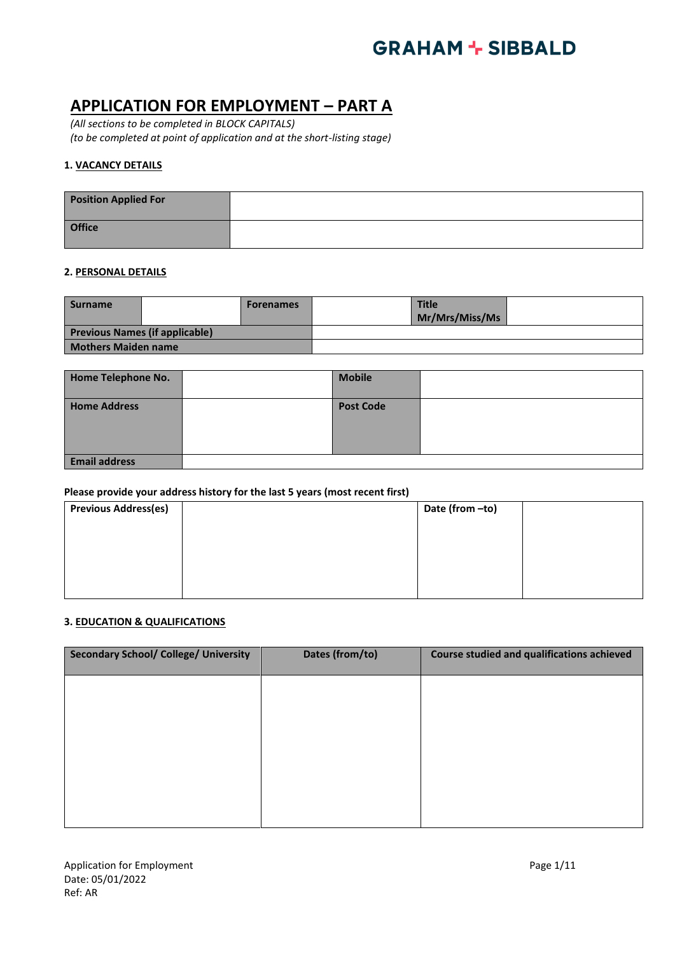### **APPLICATION FOR EMPLOYMENT – PART A**

*(All sections to be completed in BLOCK CAPITALS) (to be completed at point of application and at the short-listing stage)*

### **1. VACANCY DETAILS**

| <b>Position Applied For</b> |  |
|-----------------------------|--|
| <b>Office</b>               |  |

### **2. PERSONAL DETAILS**

| <b>Surname</b>                        | <b>Forenames</b> | <b>Title</b><br>Mr/Mrs/Miss/Ms |  |
|---------------------------------------|------------------|--------------------------------|--|
| <b>Previous Names (if applicable)</b> |                  |                                |  |
| <b>Mothers Maiden name</b>            |                  |                                |  |

| Home Telephone No.   | <b>Mobile</b>    |  |
|----------------------|------------------|--|
| <b>Home Address</b>  | <b>Post Code</b> |  |
| <b>Email address</b> |                  |  |

### **Please provide your address history for the last 5 years (most recent first)**

| <b>Previous Address(es)</b> | Date (from -to) |
|-----------------------------|-----------------|
|                             |                 |
|                             |                 |
|                             |                 |
|                             |                 |

### **3. EDUCATION & QUALIFICATIONS**

| Dates (from/to) | Course studied and qualifications achieved |
|-----------------|--------------------------------------------|
|                 |                                            |
|                 |                                            |
|                 |                                            |
|                 |                                            |
|                 |                                            |
|                 |                                            |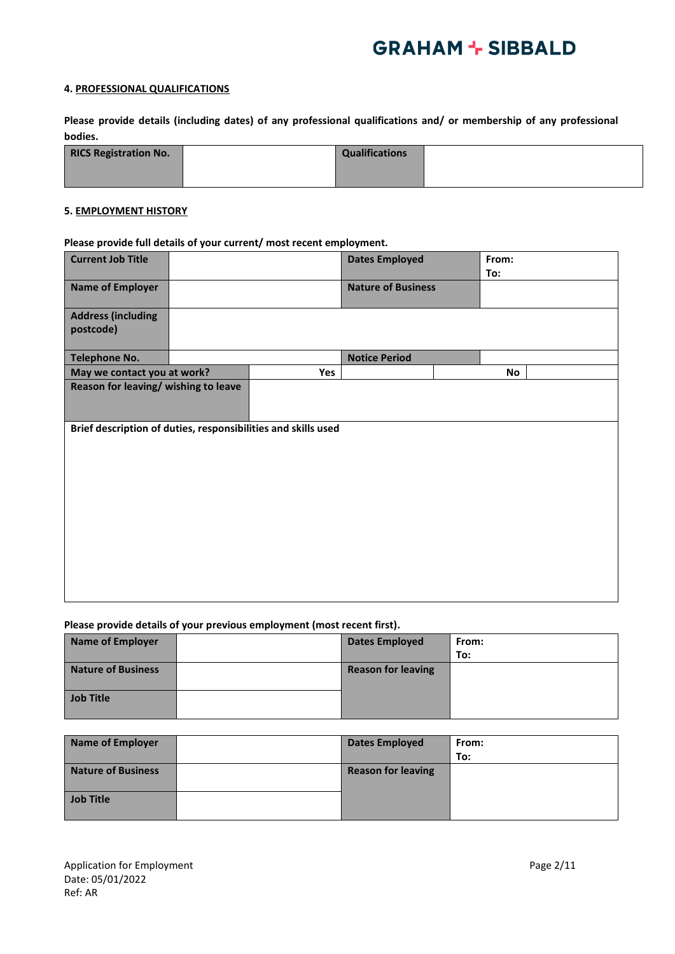### **4. PROFESSIONAL QUALIFICATIONS**

**Please provide details (including dates) of any professional qualifications and/ or membership of any professional bodies.**

| <b>RICS Registration No.</b> | <b>Qualifications</b> |  |
|------------------------------|-----------------------|--|
|                              |                       |  |

### **5. EMPLOYMENT HISTORY**

### **Please provide full details of your current/ most recent employment.**

| <b>Current Job Title</b>                                      |     | <b>Dates Employed</b>     | From:<br>To: |  |
|---------------------------------------------------------------|-----|---------------------------|--------------|--|
| <b>Name of Employer</b>                                       |     | <b>Nature of Business</b> |              |  |
| <b>Address (including</b><br>postcode)                        |     |                           |              |  |
| <b>Telephone No.</b>                                          |     | <b>Notice Period</b>      |              |  |
| May we contact you at work?                                   | Yes |                           | No           |  |
| Reason for leaving/ wishing to leave                          |     |                           |              |  |
| Brief description of duties, responsibilities and skills used |     |                           |              |  |

### **Please provide details of your previous employment (most recent first).**

| <b>Name of Employer</b>   | <b>Dates Employed</b>     | From: |
|---------------------------|---------------------------|-------|
|                           |                           | To:   |
| <b>Nature of Business</b> | <b>Reason for leaving</b> |       |
|                           |                           |       |
| <b>Job Title</b>          |                           |       |
|                           |                           |       |

| <b>Name of Employer</b>   | <b>Dates Employed</b>     | From: |
|---------------------------|---------------------------|-------|
|                           |                           | To:   |
| <b>Nature of Business</b> | <b>Reason for leaving</b> |       |
|                           |                           |       |
| <b>Job Title</b>          |                           |       |
|                           |                           |       |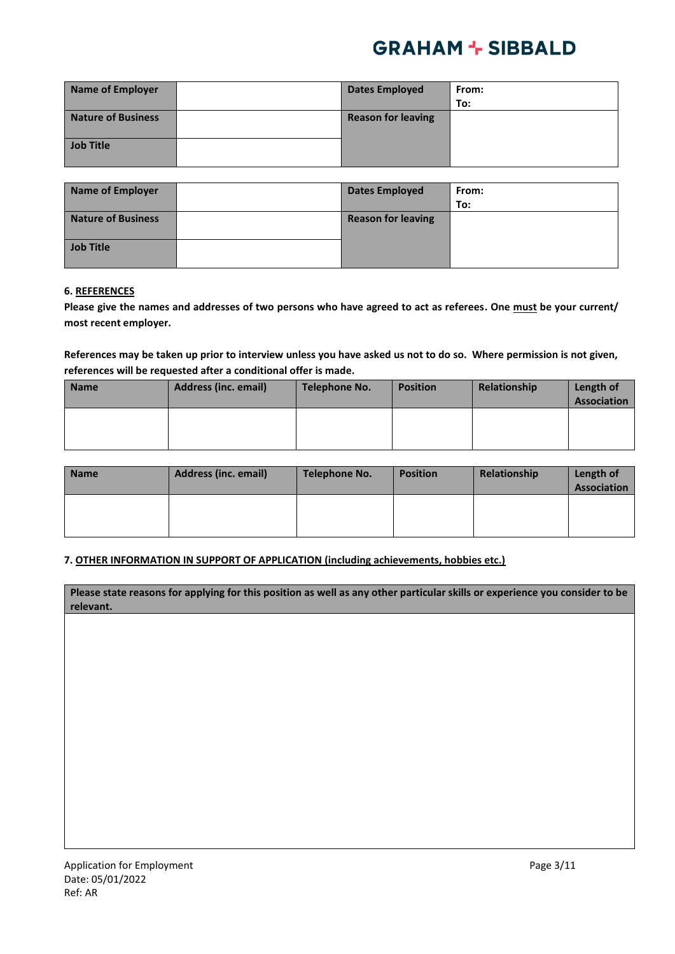| <b>Name of Employer</b>   | <b>Dates Employed</b>     | From: |
|---------------------------|---------------------------|-------|
|                           |                           | To:   |
| <b>Nature of Business</b> | <b>Reason for leaving</b> |       |
|                           |                           |       |
| <b>Job Title</b>          |                           |       |
|                           |                           |       |

| <b>Name of Employer</b>   | <b>Dates Employed</b>     | From: |
|---------------------------|---------------------------|-------|
|                           |                           | To:   |
| <b>Nature of Business</b> | <b>Reason for leaving</b> |       |
|                           |                           |       |
| <b>Job Title</b>          |                           |       |
|                           |                           |       |

### **6. REFERENCES**

**Please give the names and addresses of two persons who have agreed to act as referees. One must be your current/ most recent employer.**

**References may be taken up prior to interview unless you have asked us not to do so. Where permission is not given, references will be requested after a conditional offer is made.** 

| <b>Name</b> | <b>Address (inc. email)</b> | Telephone No. | <b>Position</b> | Relationship | Length of<br><b>Association</b> |
|-------------|-----------------------------|---------------|-----------------|--------------|---------------------------------|
|             |                             |               |                 |              |                                 |

| Name | Address (inc. email) | Telephone No. | <b>Position</b> | Relationship | Length of<br><b>Association</b> |
|------|----------------------|---------------|-----------------|--------------|---------------------------------|
|      |                      |               |                 |              |                                 |

### **7. OTHER INFORMATION IN SUPPORT OF APPLICATION (including achievements, hobbies etc.)**

| Please state reasons for applying for this position as well as any other particular skills or experience you consider to be |
|-----------------------------------------------------------------------------------------------------------------------------|
| relevant.                                                                                                                   |
|                                                                                                                             |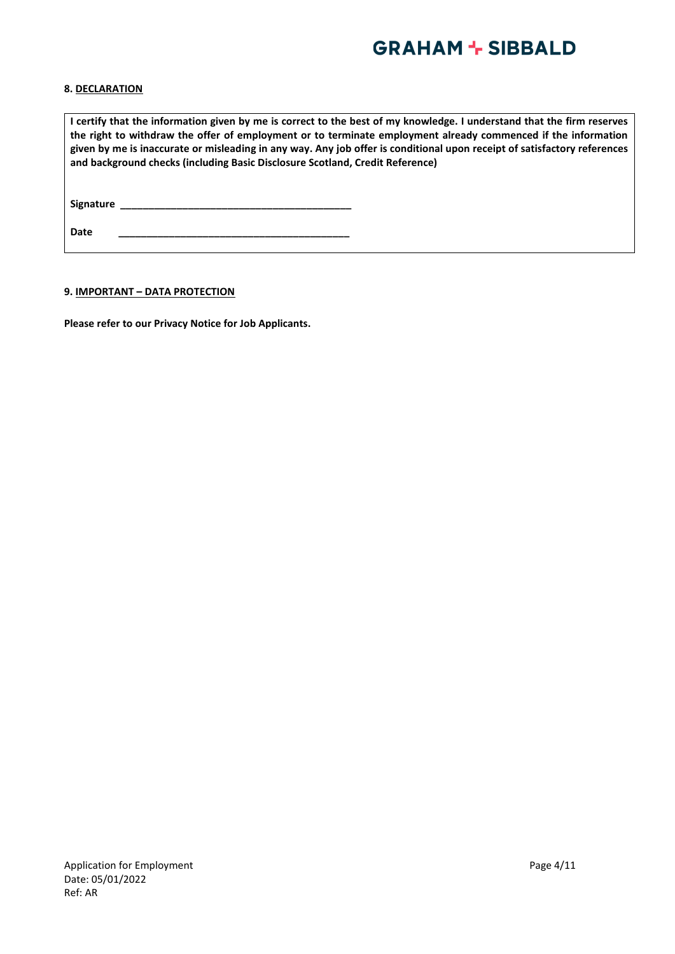### **8. DECLARATION**

**I certify that the information given by me is correct to the best of my knowledge. I understand that the firm reserves the right to withdraw the offer of employment or to terminate employment already commenced if the information given by me is inaccurate or misleading in any way. Any job offer is conditional upon receipt of satisfactory references and background checks (including Basic Disclosure Scotland, Credit Reference) Signature \_\_\_\_\_\_\_\_\_\_\_\_\_\_\_\_\_\_\_\_\_\_\_\_\_\_\_\_\_\_\_\_\_\_\_\_\_\_\_\_\_**

**9. IMPORTANT – DATA PROTECTION**

**Please refer to our Privacy Notice for Job Applicants.**

**Date \_\_\_\_\_\_\_\_\_\_\_\_\_\_\_\_\_\_\_\_\_\_\_\_\_\_\_\_\_\_\_\_\_\_\_\_\_\_\_\_\_**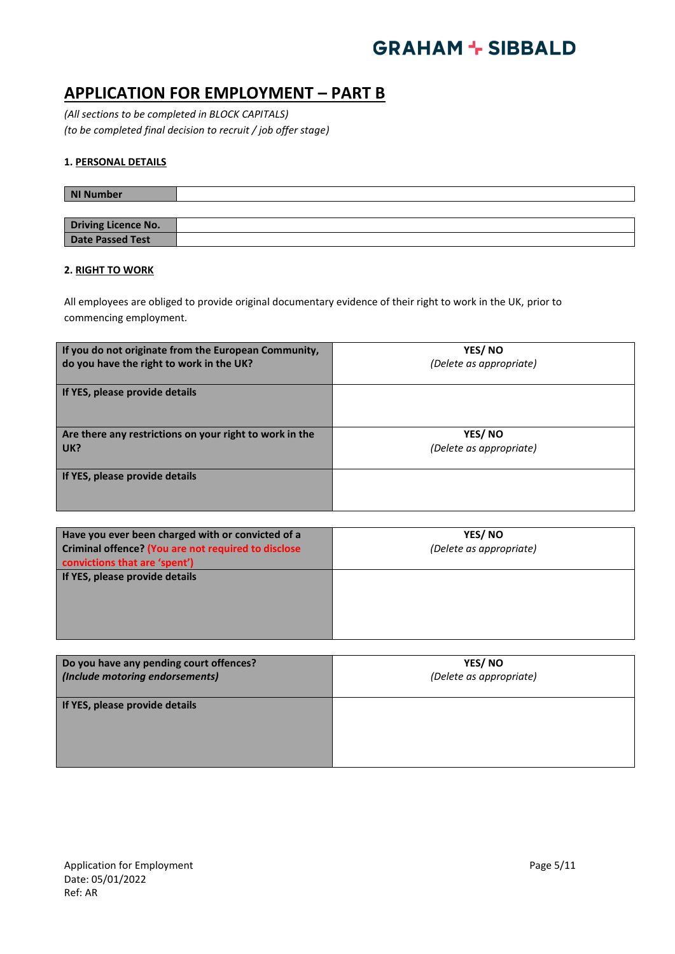### **APPLICATION FOR EMPLOYMENT – PART B**

*(All sections to be completed in BLOCK CAPITALS) (to be completed final decision to recruit / job offer stage)*

### **1. PERSONAL DETAILS**

| <b>NI Number</b>        |  |
|-------------------------|--|
|                         |  |
| Driving Licence No.     |  |
| <b>Date Passed Test</b> |  |

### **2. RIGHT TO WORK**

All employees are obliged to provide original documentary evidence of their right to work in the UK, prior to commencing employment.

| If you do not originate from the European Community,    | YES/NO                  |
|---------------------------------------------------------|-------------------------|
| do you have the right to work in the UK?                | (Delete as appropriate) |
| If YES, please provide details                          |                         |
| Are there any restrictions on your right to work in the | YES/NO                  |
| UK?                                                     | (Delete as appropriate) |
| If YES, please provide details                          |                         |

| Have you ever been charged with or convicted of a<br>Criminal offence? (You are not required to disclose<br>convictions that are 'spent') | YES/NO<br>(Delete as appropriate) |
|-------------------------------------------------------------------------------------------------------------------------------------------|-----------------------------------|
| If YES, please provide details                                                                                                            |                                   |

| Do you have any pending court offences? | YES/NO                  |
|-----------------------------------------|-------------------------|
| (Include motoring endorsements)         | (Delete as appropriate) |
| If YES, please provide details          |                         |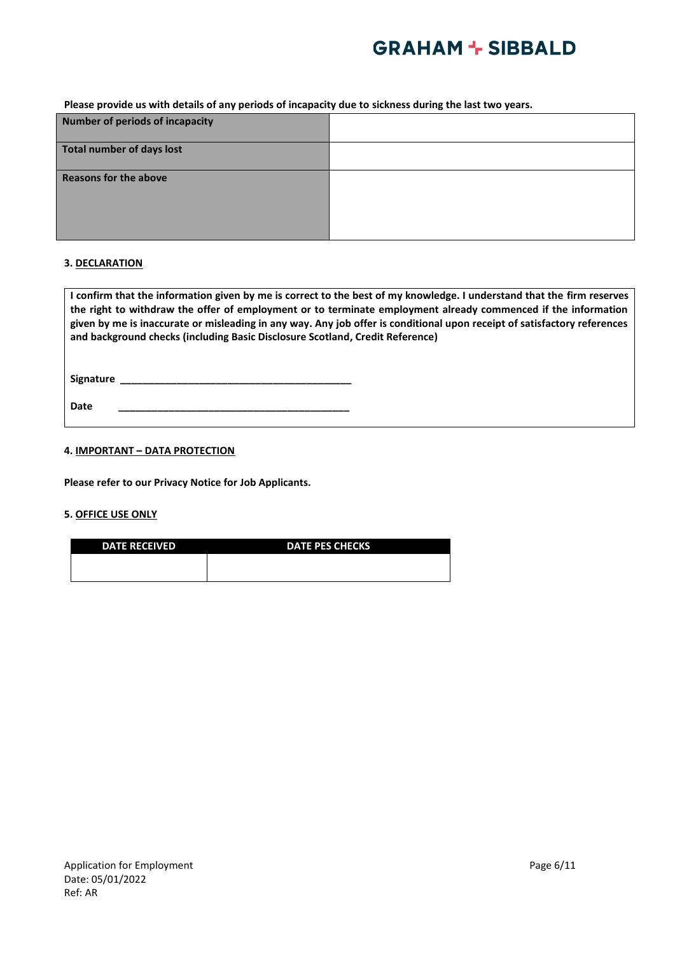**Please provide us with details of any periods of incapacity due to sickness during the last two years.**

| <b>Number of periods of incapacity</b> |  |
|----------------------------------------|--|
| <b>Total number of days lost</b>       |  |
| <b>Reasons for the above</b>           |  |

### **3. DECLARATION**

| I confirm that the information given by me is correct to the best of my knowledge. I understand that the firm reserves   |
|--------------------------------------------------------------------------------------------------------------------------|
| the right to withdraw the offer of employment or to terminate employment already commenced if the information            |
| given by me is inaccurate or misleading in any way. Any job offer is conditional upon receipt of satisfactory references |
| and background checks (including Basic Disclosure Scotland, Credit Reference)                                            |
|                                                                                                                          |
|                                                                                                                          |

**Signature \_\_\_\_\_\_\_\_\_\_\_\_\_\_\_\_\_\_\_\_\_\_\_\_\_\_\_\_\_\_\_\_\_\_\_\_\_\_\_\_\_**

**Date \_\_\_\_\_\_\_\_\_\_\_\_\_\_\_\_\_\_\_\_\_\_\_\_\_\_\_\_\_\_\_\_\_\_\_\_\_\_\_\_\_**

### **4. IMPORTANT – DATA PROTECTION**

**Please refer to our Privacy Notice for Job Applicants.**

### **5. OFFICE USE ONLY**

| <b>DATE RECEIVED</b> | <b>DATE PES CHECKS</b> |
|----------------------|------------------------|
|                      |                        |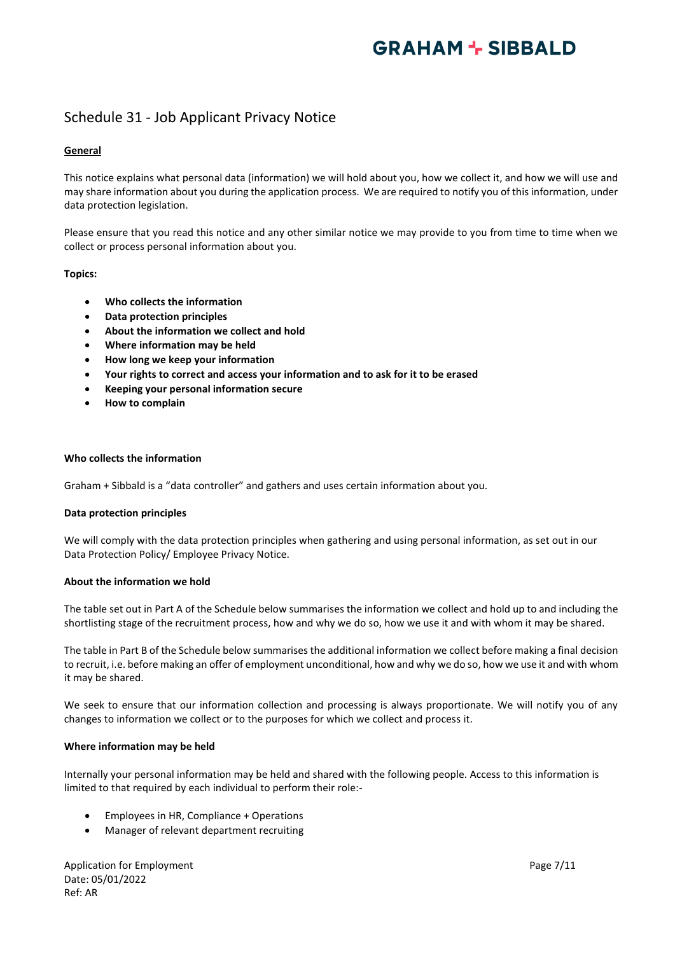### Schedule 31 - Job Applicant Privacy Notice

### **General**

This notice explains what personal data (information) we will hold about you, how we collect it, and how we will use and may share information about you during the application process. We are required to notify you of this information, under data protection legislation.

Please ensure that you read this notice and any other similar notice we may provide to you from time to time when we collect or process personal information about you.

### **Topics:**

- **Who collects the information**
- **Data protection principles**
- **About the information we collect and hold**
- **Where information may be held**
- **How long we keep your information**
- **Your rights to correct and access your information and to ask for it to be erased**
- **Keeping your personal information secure**
- **How to complain**

### **Who collects the information**

Graham + Sibbald is a "data controller" and gathers and uses certain information about you.

### **Data protection principles**

We will comply with the data protection principles when gathering and using personal information, as set out in our Data Protection Policy/ Employee Privacy Notice.

#### **About the information we hold**

The table set out in Part A of the Schedule below summarises the information we collect and hold up to and including the shortlisting stage of the recruitment process, how and why we do so, how we use it and with whom it may be shared.

The table in Part B of the Schedule below summarises the additional information we collect before making a final decision to recruit, i.e. before making an offer of employment unconditional, how and why we do so, how we use it and with whom it may be shared.

We seek to ensure that our information collection and processing is always proportionate. We will notify you of any changes to information we collect or to the purposes for which we collect and process it.

#### **Where information may be held**

Internally your personal information may be held and shared with the following people. Access to this information is limited to that required by each individual to perform their role:-

- Employees in HR, Compliance + Operations
- Manager of relevant department recruiting

Application for Employment **Page 7/11** Date: 05/01/2022 Ref: AR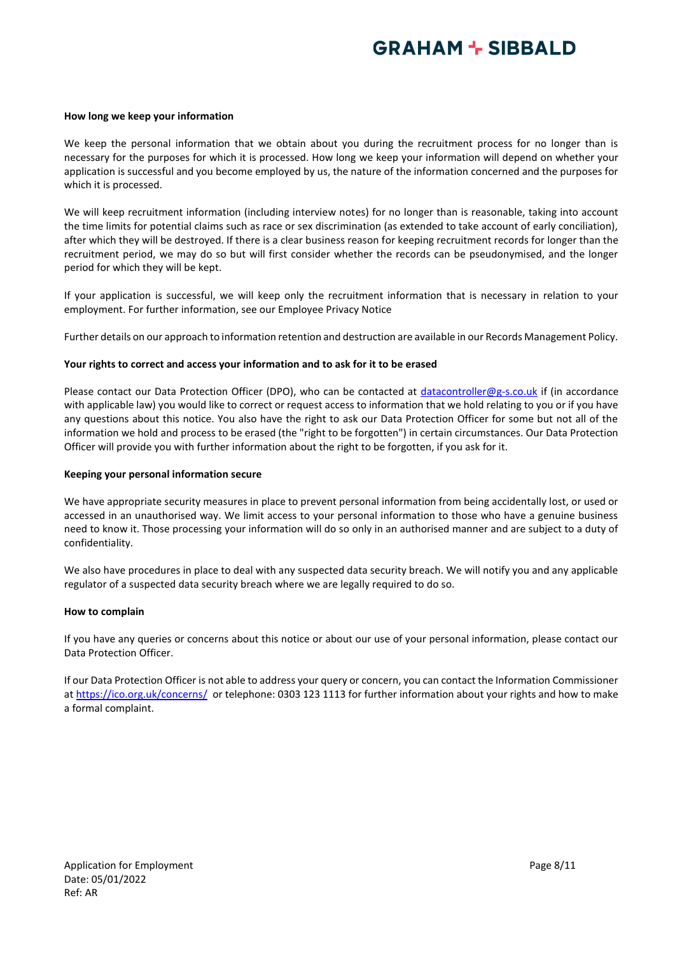#### **How long we keep your information**

We keep the personal information that we obtain about you during the recruitment process for no longer than is necessary for the purposes for which it is processed. How long we keep your information will depend on whether your application is successful and you become employed by us, the nature of the information concerned and the purposes for which it is processed.

We will keep recruitment information (including interview notes) for no longer than is reasonable, taking into account the time limits for potential claims such as race or sex discrimination (as extended to take account of early conciliation), after which they will be destroyed. If there is a clear business reason for keeping recruitment records for longer than the recruitment period, we may do so but will first consider whether the records can be pseudonymised, and the longer period for which they will be kept.

If your application is successful, we will keep only the recruitment information that is necessary in relation to your employment. For further information, see our Employee Privacy Notice

Further details on our approach to information retention and destruction are available in our Records Management Policy.

#### **Your rights to correct and access your information and to ask for it to be erased**

Please contact our Data Protection Officer (DPO), who can be contacted at [datacontroller@g-s.co.uk](mailto:datacontroller@g-s.co.uk) if (in accordance with applicable law) you would like to correct or request access to information that we hold relating to you or if you have any questions about this notice. You also have the right to ask our Data Protection Officer for some but not all of the information we hold and process to be erased (the "right to be forgotten") in certain circumstances. Our Data Protection Officer will provide you with further information about the right to be forgotten, if you ask for it.

#### **Keeping your personal information secure**

We have appropriate security measures in place to prevent personal information from being accidentally lost, or used or accessed in an unauthorised way. We limit access to your personal information to those who have a genuine business need to know it. Those processing your information will do so only in an authorised manner and are subject to a duty of confidentiality.

We also have procedures in place to deal with any suspected data security breach. We will notify you and any applicable regulator of a suspected data security breach where we are legally required to do so.

#### **How to complain**

If you have any queries or concerns about this notice or about our use of your personal information, please contact our Data Protection Officer.

If our Data Protection Officer is not able to address your query or concern, you can contact the Information Commissioner at<https://ico.org.uk/concerns/>or telephone: 0303 123 1113 for further information about your rights and how to make a formal complaint.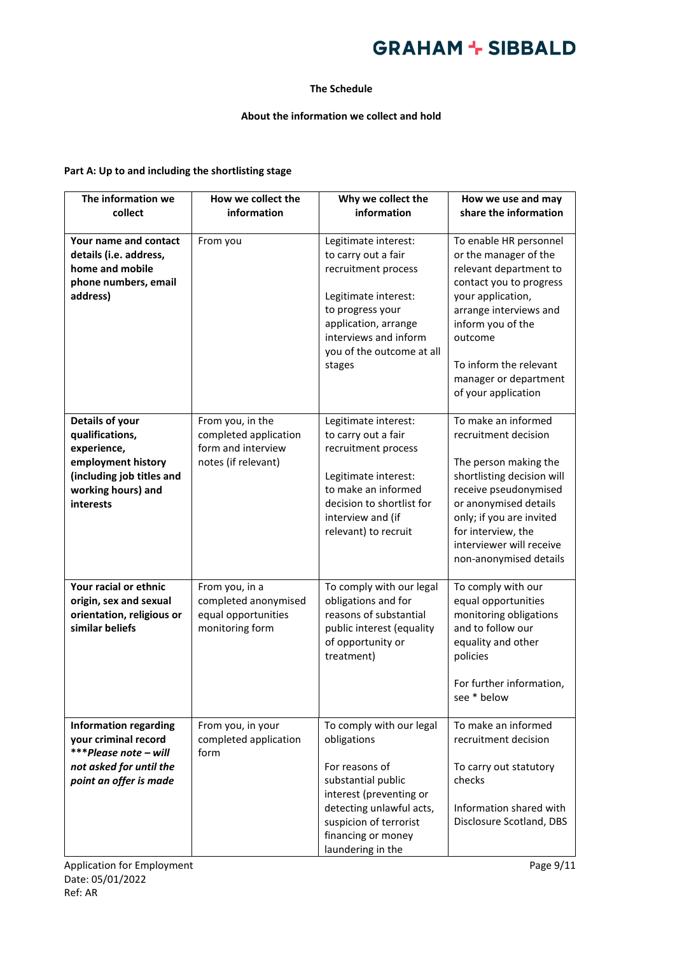### **The Schedule**

### **About the information we collect and hold**

### **Part A: Up to and including the shortlisting stage**

| The information we                                                                                                                      | How we collect the                                                                     | Why we collect the                                                                                                                                                                                          | How we use and may                                                                                                                                                                                                                                            |
|-----------------------------------------------------------------------------------------------------------------------------------------|----------------------------------------------------------------------------------------|-------------------------------------------------------------------------------------------------------------------------------------------------------------------------------------------------------------|---------------------------------------------------------------------------------------------------------------------------------------------------------------------------------------------------------------------------------------------------------------|
| collect                                                                                                                                 | information                                                                            | information                                                                                                                                                                                                 | share the information                                                                                                                                                                                                                                         |
| Your name and contact<br>details (i.e. address,<br>home and mobile<br>phone numbers, email<br>address)                                  | From you                                                                               | Legitimate interest:<br>to carry out a fair<br>recruitment process<br>Legitimate interest:<br>to progress your<br>application, arrange<br>interviews and inform<br>you of the outcome at all<br>stages      | To enable HR personnel<br>or the manager of the<br>relevant department to<br>contact you to progress<br>your application,<br>arrange interviews and<br>inform you of the<br>outcome<br>To inform the relevant<br>manager or department<br>of your application |
| Details of your<br>qualifications,<br>experience,<br>employment history<br>(including job titles and<br>working hours) and<br>interests | From you, in the<br>completed application<br>form and interview<br>notes (if relevant) | Legitimate interest:<br>to carry out a fair<br>recruitment process<br>Legitimate interest:<br>to make an informed<br>decision to shortlist for<br>interview and (if<br>relevant) to recruit                 | To make an informed<br>recruitment decision<br>The person making the<br>shortlisting decision will<br>receive pseudonymised<br>or anonymised details<br>only; if you are invited<br>for interview, the<br>interviewer will receive<br>non-anonymised details  |
| Your racial or ethnic<br>origin, sex and sexual<br>orientation, religious or<br>similar beliefs                                         | From you, in a<br>completed anonymised<br>equal opportunities<br>monitoring form       | To comply with our legal<br>obligations and for<br>reasons of substantial<br>public interest (equality<br>of opportunity or<br>treatment)                                                                   | To comply with our<br>equal opportunities<br>monitoring obligations<br>and to follow our<br>equality and other<br>policies<br>For further information,<br>see * below                                                                                         |
| <b>Information regarding</b><br>your criminal record<br>***Please note - will<br>not asked for until the<br>point an offer is made      | From you, in your<br>completed application<br>form                                     | To comply with our legal<br>obligations<br>For reasons of<br>substantial public<br>interest (preventing or<br>detecting unlawful acts,<br>suspicion of terrorist<br>financing or money<br>laundering in the | To make an informed<br>recruitment decision<br>To carry out statutory<br>checks<br>Information shared with<br>Disclosure Scotland, DBS                                                                                                                        |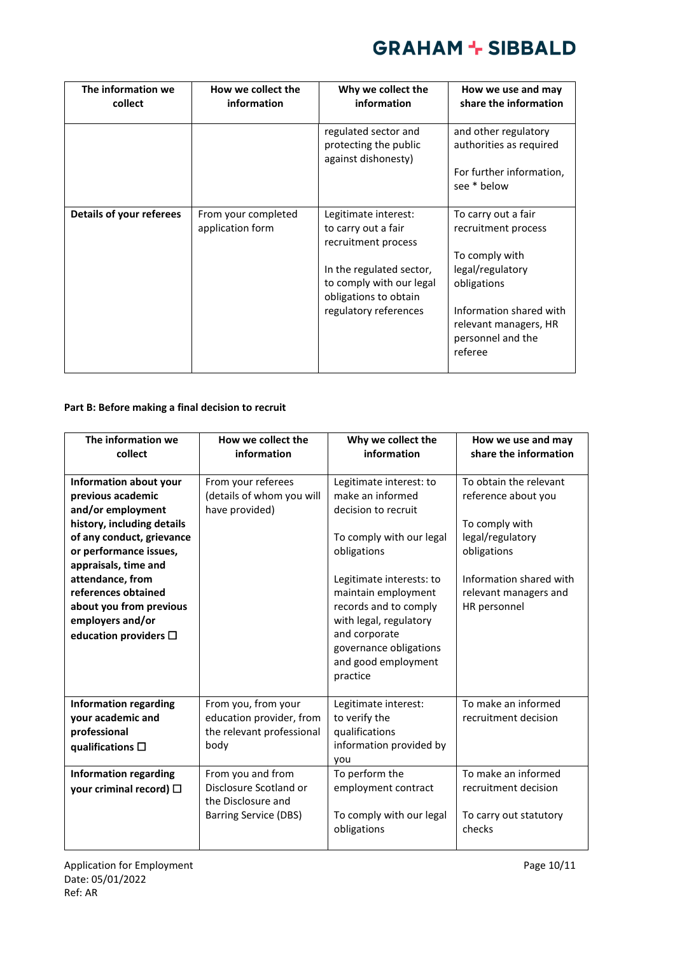| The information we<br>collect   | How we collect the<br>information       | Why we collect the<br>information                                             | How we use and may<br>share the information                                      |
|---------------------------------|-----------------------------------------|-------------------------------------------------------------------------------|----------------------------------------------------------------------------------|
|                                 |                                         | regulated sector and<br>protecting the public<br>against dishonesty)          | and other regulatory<br>authorities as required                                  |
|                                 |                                         |                                                                               | For further information,<br>see * below                                          |
| <b>Details of your referees</b> | From your completed<br>application form | Legitimate interest:<br>to carry out a fair<br>recruitment process            | To carry out a fair<br>recruitment process                                       |
|                                 |                                         | In the regulated sector,<br>to comply with our legal<br>obligations to obtain | To comply with<br>legal/regulatory<br>obligations                                |
|                                 |                                         | regulatory references                                                         | Information shared with<br>relevant managers, HR<br>personnel and the<br>referee |

### **Part B: Before making a final decision to recruit**

| The information we<br>collect                                                                                                                                                                                                                                                                            | How we collect the<br>information                                                                 | Why we collect the<br>information                                                                                                                                                                                                                                                                 | How we use and may<br>share the information                                                                                                                            |
|----------------------------------------------------------------------------------------------------------------------------------------------------------------------------------------------------------------------------------------------------------------------------------------------------------|---------------------------------------------------------------------------------------------------|---------------------------------------------------------------------------------------------------------------------------------------------------------------------------------------------------------------------------------------------------------------------------------------------------|------------------------------------------------------------------------------------------------------------------------------------------------------------------------|
| Information about your<br>previous academic<br>and/or employment<br>history, including details<br>of any conduct, grievance<br>or performance issues,<br>appraisals, time and<br>attendance, from<br>references obtained<br>about you from previous<br>employers and/or<br>education providers $\square$ | From your referees<br>(details of whom you will<br>have provided)                                 | Legitimate interest: to<br>make an informed<br>decision to recruit<br>To comply with our legal<br>obligations<br>Legitimate interests: to<br>maintain employment<br>records and to comply<br>with legal, regulatory<br>and corporate<br>governance obligations<br>and good employment<br>practice | To obtain the relevant<br>reference about you<br>To comply with<br>legal/regulatory<br>obligations<br>Information shared with<br>relevant managers and<br>HR personnel |
| <b>Information regarding</b><br>your academic and<br>professional<br>qualifications $\square$                                                                                                                                                                                                            | From you, from your<br>education provider, from<br>the relevant professional<br>body              | Legitimate interest:<br>to verify the<br>qualifications<br>information provided by<br>you                                                                                                                                                                                                         | To make an informed<br>recruitment decision                                                                                                                            |
| <b>Information regarding</b><br>your criminal record) $\square$                                                                                                                                                                                                                                          | From you and from<br>Disclosure Scotland or<br>the Disclosure and<br><b>Barring Service (DBS)</b> | To perform the<br>employment contract<br>To comply with our legal<br>obligations                                                                                                                                                                                                                  | To make an informed<br>recruitment decision<br>To carry out statutory<br>checks                                                                                        |